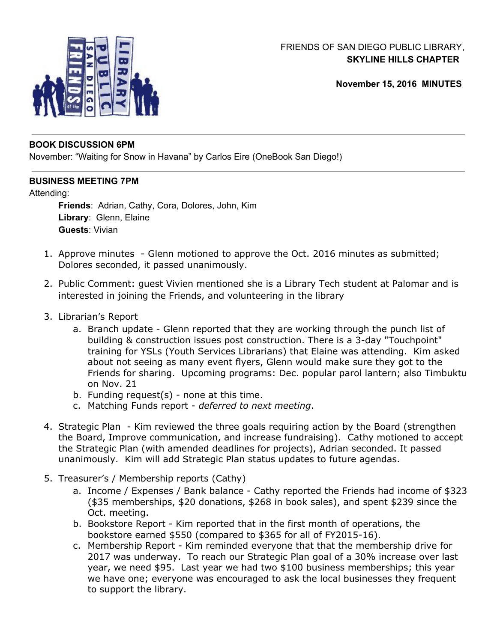

# FRIENDS OF SAN DIEGO PUBLIC LIBRARY, **SKYLINE HILLS CHAPTER**

**November 15, 2016 MINUTES**

#### **BOOK DISCUSSION 6PM**

November: "Waiting for Snow in Havana" by Carlos Eire (OneBook San Diego!)

## **BUSINESS MEETING 7PM**

## Attending:

**Friends**: Adrian, Cathy, Cora, Dolores, John, Kim **Library**: Glenn, Elaine **Guests**: Vivian

- 1. Approve minutes Glenn motioned to approve the Oct. 2016 minutes as submitted; Dolores seconded, it passed unanimously.
- 2. Public Comment: guest Vivien mentioned she is a Library Tech student at Palomar and is interested in joining the Friends, and volunteering in the library
- 3. Librarian's Report
	- a. Branch update Glenn reported that they are working through the punch list of building & construction issues post construction. There is a 3-day "Touchpoint" training for YSLs (Youth Services Librarians) that Elaine was attending. Kim asked about not seeing as many event flyers, Glenn would make sure they got to the Friends for sharing. Upcoming programs: Dec. popular parol lantern; also Timbuktu on Nov. 21
	- b. Funding request $(s)$  none at this time.
	- c. Matching Funds report *deferred to next meeting*.
- 4. Strategic Plan Kim reviewed the three goals requiring action by the Board (strengthen the Board, Improve communication, and increase fundraising). Cathy motioned to accept the Strategic Plan (with amended deadlines for projects), Adrian seconded. It passed unanimously. Kim will add Strategic Plan status updates to future agendas.
- 5. Treasurer's / Membership reports (Cathy)
	- a. Income / Expenses / Bank balance Cathy reported the Friends had income of \$323 (\$35 memberships, \$20 donations, \$268 in book sales), and spent \$239 since the Oct. meeting.
	- b. Bookstore Report Kim reported that in the first month of operations, the bookstore earned \$550 (compared to \$365 for all of FY2015-16).
	- c. Membership Report Kim reminded everyone that that the membership drive for 2017 was underway. To reach our Strategic Plan goal of a 30% increase over last year, we need \$95. Last year we had two \$100 business memberships; this year we have one; everyone was encouraged to ask the local businesses they frequent to support the library.